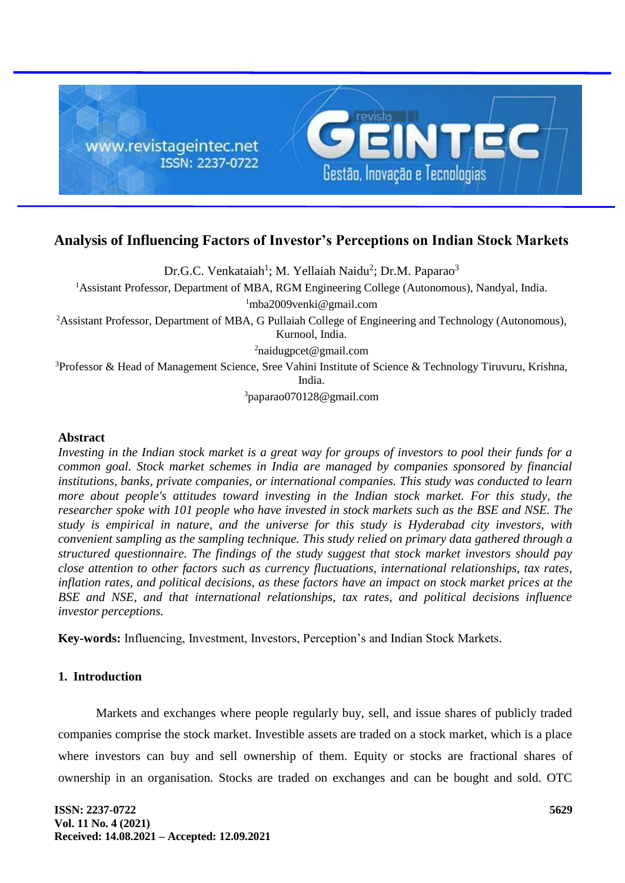

# **Analysis of Influencing Factors of Investor's Perceptions on Indian Stock Markets**

Dr.G.C. Venkataiah<sup>1</sup>; M. Yellaiah Naidu<sup>2</sup>; Dr.M. Paparao<sup>3</sup> <sup>1</sup>Assistant Professor, Department of MBA, RGM Engineering College (Autonomous), Nandyal, India.  $1$ mba2009venki@gmail.com <sup>2</sup>Assistant Professor, Department of MBA, G Pullaiah College of Engineering and Technology (Autonomous), Kurnool, India. <sup>2</sup>naidugpcet@gmail.com <sup>3</sup>Professor & Head of Management Science, Sree Vahini Institute of Science & Technology Tiruvuru, Krishna, India.

<sup>3</sup>paparao070128@gmail.com

#### **Abstract**

*Investing in the Indian stock market is a great way for groups of investors to pool their funds for a common goal. Stock market schemes in India are managed by companies sponsored by financial institutions, banks, private companies, or international companies. This study was conducted to learn more about people's attitudes toward investing in the Indian stock market. For this study, the researcher spoke with 101 people who have invested in stock markets such as the BSE and NSE. The study is empirical in nature, and the universe for this study is Hyderabad city investors, with convenient sampling as the sampling technique. This study relied on primary data gathered through a structured questionnaire. The findings of the study suggest that stock market investors should pay close attention to other factors such as currency fluctuations, international relationships, tax rates, inflation rates, and political decisions, as these factors have an impact on stock market prices at the BSE and NSE, and that international relationships, tax rates, and political decisions influence investor perceptions.*

**Key-words:** Influencing, Investment, Investors, Perception's and Indian Stock Markets.

## **1. Introduction**

Markets and exchanges where people regularly buy, sell, and issue shares of publicly traded companies comprise the stock market. Investible assets are traded on a stock market, which is a place where investors can buy and sell ownership of them. Equity or stocks are fractional shares of ownership in an organisation. Stocks are traded on exchanges and can be bought and sold. OTC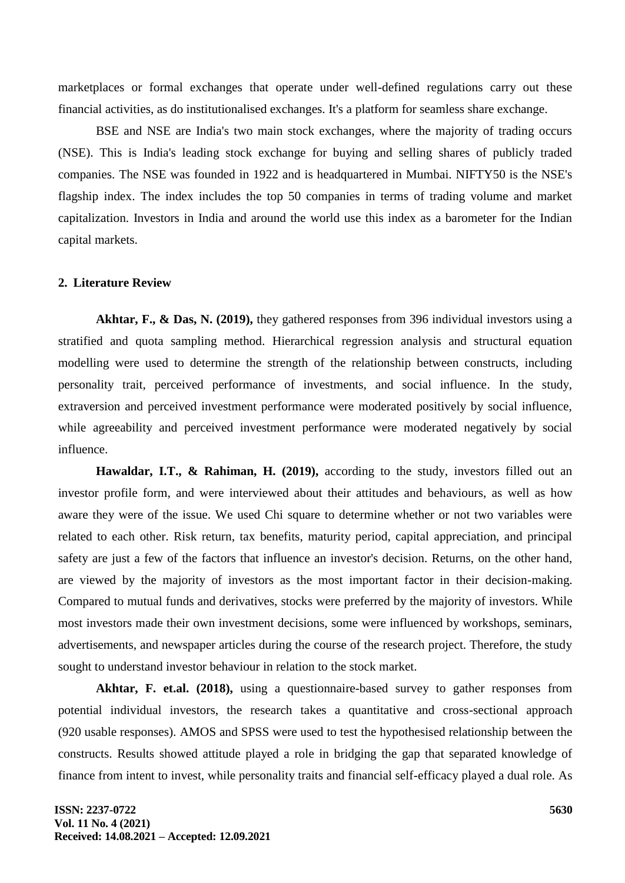marketplaces or formal exchanges that operate under well-defined regulations carry out these financial activities, as do institutionalised exchanges. It's a platform for seamless share exchange.

BSE and NSE are India's two main stock exchanges, where the majority of trading occurs (NSE). This is India's leading stock exchange for buying and selling shares of publicly traded companies. The NSE was founded in 1922 and is headquartered in Mumbai. NIFTY50 is the NSE's flagship index. The index includes the top 50 companies in terms of trading volume and market capitalization. Investors in India and around the world use this index as a barometer for the Indian capital markets.

#### **2. Literature Review**

**Akhtar, F., & Das, N. (2019),** they gathered responses from 396 individual investors using a stratified and quota sampling method. Hierarchical regression analysis and structural equation modelling were used to determine the strength of the relationship between constructs, including personality trait, perceived performance of investments, and social influence. In the study, extraversion and perceived investment performance were moderated positively by social influence, while agreeability and perceived investment performance were moderated negatively by social influence.

**Hawaldar, I.T., & Rahiman, H. (2019),** according to the study, investors filled out an investor profile form, and were interviewed about their attitudes and behaviours, as well as how aware they were of the issue. We used Chi square to determine whether or not two variables were related to each other. Risk return, tax benefits, maturity period, capital appreciation, and principal safety are just a few of the factors that influence an investor's decision. Returns, on the other hand, are viewed by the majority of investors as the most important factor in their decision-making. Compared to mutual funds and derivatives, stocks were preferred by the majority of investors. While most investors made their own investment decisions, some were influenced by workshops, seminars, advertisements, and newspaper articles during the course of the research project. Therefore, the study sought to understand investor behaviour in relation to the stock market.

**Akhtar, F. et.al. (2018),** using a questionnaire-based survey to gather responses from potential individual investors, the research takes a quantitative and cross-sectional approach (920 usable responses). AMOS and SPSS were used to test the hypothesised relationship between the constructs. Results showed attitude played a role in bridging the gap that separated knowledge of finance from intent to invest, while personality traits and financial self-efficacy played a dual role. As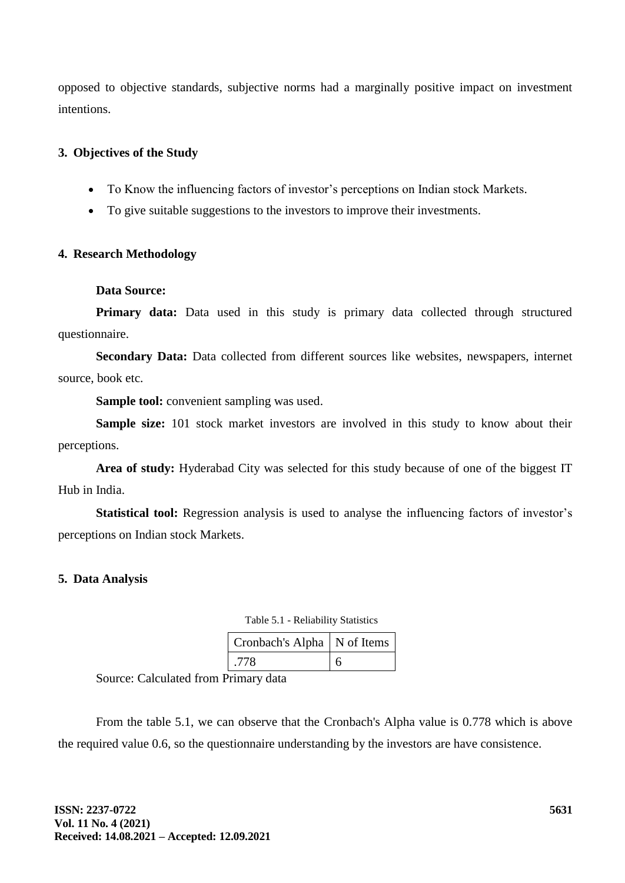opposed to objective standards, subjective norms had a marginally positive impact on investment intentions.

# **3. Objectives of the Study**

- To Know the influencing factors of investor's perceptions on Indian stock Markets.
- To give suitable suggestions to the investors to improve their investments.

# **4. Research Methodology**

## **Data Source:**

**Primary data:** Data used in this study is primary data collected through structured questionnaire.

**Secondary Data:** Data collected from different sources like websites, newspapers, internet source, book etc.

**Sample tool:** convenient sampling was used.

**Sample size:** 101 stock market investors are involved in this study to know about their perceptions.

**Area of study:** Hyderabad City was selected for this study because of one of the biggest IT Hub in India.

**Statistical tool:** Regression analysis is used to analyse the influencing factors of investor's perceptions on Indian stock Markets.

# **5. Data Analysis**

| Cronbach's Alpha   N of Items |  |  |  |  |
|-------------------------------|--|--|--|--|
| -778                          |  |  |  |  |

Source: Calculated from Primary data

From the table 5.1, we can observe that the Cronbach's Alpha value is 0.778 which is above the required value 0.6, so the questionnaire understanding by the investors are have consistence.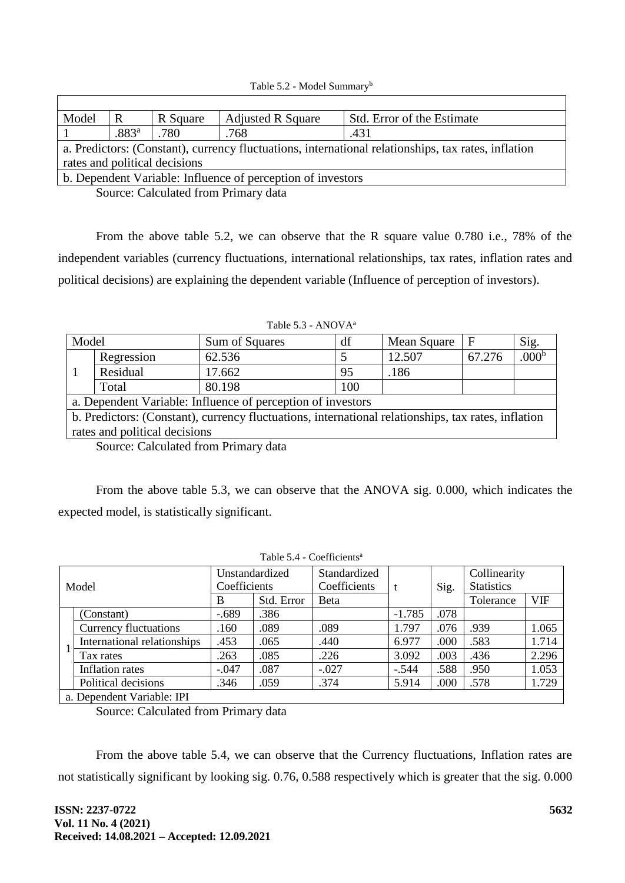| Model                                                                                               | R                 | R Square | <b>Adjusted R Square</b> | Std. Error of the Estimate |  |  |  |
|-----------------------------------------------------------------------------------------------------|-------------------|----------|--------------------------|----------------------------|--|--|--|
|                                                                                                     | .883 <sup>a</sup> | .780     | .768                     | .431                       |  |  |  |
| a. Predictors: (Constant), currency fluctuations, international relationships, tax rates, inflation |                   |          |                          |                            |  |  |  |
| rates and political decisions                                                                       |                   |          |                          |                            |  |  |  |
| b. Dependent Variable: Influence of perception of investors                                         |                   |          |                          |                            |  |  |  |
|                                                                                                     |                   |          |                          |                            |  |  |  |

Source: Calculated from Primary data

From the above table 5.2, we can observe that the R square value 0.780 i.e., 78% of the independent variables (currency fluctuations, international relationships, tax rates, inflation rates and political decisions) are explaining the dependent variable (Influence of perception of investors).

| Table 5.5 - AINUVA <sup>-</sup>                                                                     |            |                |     |             |        |                   |  |  |
|-----------------------------------------------------------------------------------------------------|------------|----------------|-----|-------------|--------|-------------------|--|--|
| Model                                                                                               |            | Sum of Squares | df  | Mean Square | F      | Sig.              |  |  |
|                                                                                                     | Regression | 62.536         |     | 12.507      | 67.276 | .000 <sup>b</sup> |  |  |
|                                                                                                     | Residual   | 17.662         | 95  | .186        |        |                   |  |  |
|                                                                                                     | Total      | 80.198         | 100 |             |        |                   |  |  |
| a. Dependent Variable: Influence of perception of investors                                         |            |                |     |             |        |                   |  |  |
| b. Predictors: (Constant), currency fluctuations, international relationships, tax rates, inflation |            |                |     |             |        |                   |  |  |
| rates and political decisions                                                                       |            |                |     |             |        |                   |  |  |

Source: Calculated from Primary data

From the above table 5.3, we can observe that the ANOVA sig. 0.000, which indicates the expected model, is statistically significant.

| Model                      |                              | Unstandardized |            | Standardized |          | Sig. | Collinearity      |            |
|----------------------------|------------------------------|----------------|------------|--------------|----------|------|-------------------|------------|
|                            |                              | Coefficients   |            | Coefficients | t        |      | <b>Statistics</b> |            |
|                            |                              | B              | Std. Error | Beta         |          |      | Tolerance         | <b>VIF</b> |
|                            | (Constant)                   | $-.689$        | .386       |              | $-1.785$ | .078 |                   |            |
|                            | <b>Currency fluctuations</b> | .160           | .089       | .089         | 1.797    | .076 | .939              | 1.065      |
|                            | International relationships  | .453           | .065       | .440         | 6.977    | .000 | .583              | 1.714      |
|                            | Tax rates                    | .263           | .085       | .226         | 3.092    | .003 | .436              | 2.296      |
|                            | Inflation rates              | $-.047$        | .087       | $-.027$      | $-.544$  | .588 | .950              | 1.053      |
|                            | Political decisions          | .346           | .059       | .374         | 5.914    | .000 | .578              | 1.729      |
| a. Dependent Variable: IPI |                              |                |            |              |          |      |                   |            |

Table 5.4 - Coefficients<sup>a</sup>

Source: Calculated from Primary data

From the above table 5.4, we can observe that the Currency fluctuations, Inflation rates are not statistically significant by looking sig. 0.76, 0.588 respectively which is greater that the sig. 0.000